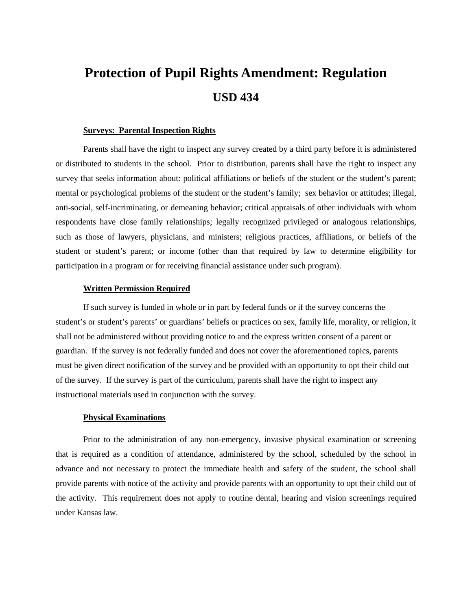# **Protection of Pupil Rights Amendment: Regulation USD 434**

# **Surveys: Parental Inspection Rights**

Parents shall have the right to inspect any survey created by a third party before it is administered or distributed to students in the school. Prior to distribution, parents shall have the right to inspect any survey that seeks information about: political affiliations or beliefs of the student or the student's parent; mental or psychological problems of the student or the student's family; sex behavior or attitudes; illegal, anti-social, self-incriminating, or demeaning behavior; critical appraisals of other individuals with whom respondents have close family relationships; legally recognized privileged or analogous relationships, such as those of lawyers, physicians, and ministers; religious practices, affiliations, or beliefs of the student or student's parent; or income (other than that required by law to determine eligibility for participation in a program or for receiving financial assistance under such program).

#### **Written Permission Required**

If such survey is funded in whole or in part by federal funds or if the survey concerns the student's or student's parents' or guardians' beliefs or practices on sex, family life, morality, or religion, it shall not be administered without providing notice to and the express written consent of a parent or guardian. If the survey is not federally funded and does not cover the aforementioned topics, parents must be given direct notification of the survey and be provided with an opportunity to opt their child out of the survey. If the survey is part of the curriculum, parents shall have the right to inspect any instructional materials used in conjunction with the survey.

## **Physical Examinations**

Prior to the administration of any non-emergency, invasive physical examination or screening that is required as a condition of attendance, administered by the school, scheduled by the school in advance and not necessary to protect the immediate health and safety of the student, the school shall provide parents with notice of the activity and provide parents with an opportunity to opt their child out of the activity. This requirement does not apply to routine dental, hearing and vision screenings required under Kansas law.